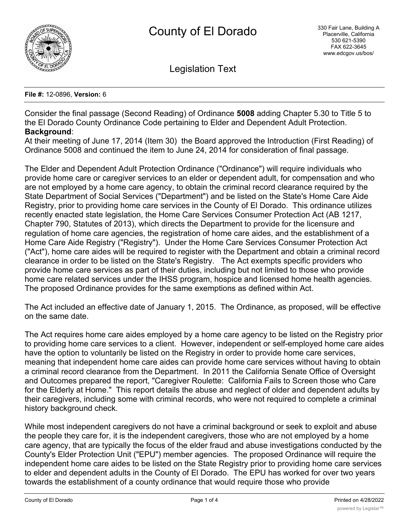

Legislation Text

## **File #:** 12-0896, **Version:** 6

Consider the final passage (Second Reading) of Ordinance **5008** adding Chapter 5.30 to Title 5 to the El Dorado County Ordinance Code pertaining to Elder and Dependent Adult Protection. **Background**:

At their meeting of June 17, 2014 (Item 30) the Board approved the Introduction (First Reading) of Ordinance 5008 and continued the item to June 24, 2014 for consideration of final passage.

The Elder and Dependent Adult Protection Ordinance ("Ordinance") will require individuals who provide home care or caregiver services to an elder or dependent adult, for compensation and who are not employed by a home care agency, to obtain the criminal record clearance required by the State Department of Social Services ("Department") and be listed on the State's Home Care Aide Registry, prior to providing home care services in the County of El Dorado. This ordinance utilizes recently enacted state legislation, the Home Care Services Consumer Protection Act (AB 1217, Chapter 790, Statutes of 2013), which directs the Department to provide for the licensure and regulation of home care agencies, the registration of home care aides, and the establishment of a Home Care Aide Registry ("Registry"). Under the Home Care Services Consumer Protection Act ("Act"), home care aides will be required to register with the Department and obtain a criminal record clearance in order to be listed on the State's Registry. The Act exempts specific providers who provide home care services as part of their duties, including but not limited to those who provide home care related services under the IHSS program, hospice and licensed home health agencies. The proposed Ordinance provides for the same exemptions as defined within Act.

The Act included an effective date of January 1, 2015. The Ordinance, as proposed, will be effective on the same date.

The Act requires home care aides employed by a home care agency to be listed on the Registry prior to providing home care services to a client. However, independent or self-employed home care aides have the option to voluntarily be listed on the Registry in order to provide home care services, meaning that independent home care aides can provide home care services without having to obtain a criminal record clearance from the Department. In 2011 the California Senate Office of Oversight and Outcomes prepared the report, "Caregiver Roulette: California Fails to Screen those who Care for the Elderly at Home." This report details the abuse and neglect of older and dependent adults by their caregivers, including some with criminal records, who were not required to complete a criminal history background check.

While most independent caregivers do not have a criminal background or seek to exploit and abuse the people they care for, it is the independent caregivers, those who are not employed by a home care agency, that are typically the focus of the elder fraud and abuse investigations conducted by the County's Elder Protection Unit ("EPU") member agencies. The proposed Ordinance will require the independent home care aides to be listed on the State Registry prior to providing home care services to elder and dependent adults in the County of El Dorado. The EPU has worked for over two years towards the establishment of a county ordinance that would require those who provide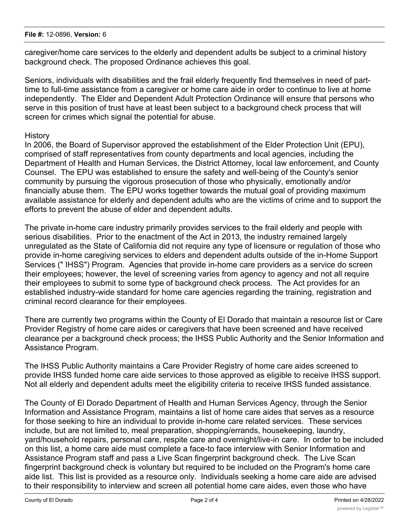caregiver/home care services to the elderly and dependent adults be subject to a criminal history background check. The proposed Ordinance achieves this goal.

Seniors, individuals with disabilities and the frail elderly frequently find themselves in need of parttime to full-time assistance from a caregiver or home care aide in order to continue to live at home independently. The Elder and Dependent Adult Protection Ordinance will ensure that persons who serve in this position of trust have at least been subject to a background check process that will screen for crimes which signal the potential for abuse.

## **History**

In 2006, the Board of Supervisor approved the establishment of the Elder Protection Unit (EPU), comprised of staff representatives from county departments and local agencies, including the Department of Health and Human Services, the District Attorney, local law enforcement, and County Counsel. The EPU was established to ensure the safety and well-being of the County's senior community by pursuing the vigorous prosecution of those who physically, emotionally and/or financially abuse them. The EPU works together towards the mutual goal of providing maximum available assistance for elderly and dependent adults who are the victims of crime and to support the efforts to prevent the abuse of elder and dependent adults.

The private in-home care industry primarily provides services to the frail elderly and people with serious disabilities. Prior to the enactment of the Act in 2013, the industry remained largely unregulated as the State of California did not require any type of licensure or regulation of those who provide in-home caregiving services to elders and dependent adults outside of the in-Home Support Services (" IHSS") Program. Agencies that provide in-home care providers as a service do screen their employees; however, the level of screening varies from agency to agency and not all require their employees to submit to some type of background check process. The Act provides for an established industry-wide standard for home care agencies regarding the training, registration and criminal record clearance for their employees.

There are currently two programs within the County of El Dorado that maintain a resource list or Care Provider Registry of home care aides or caregivers that have been screened and have received clearance per a background check process; the IHSS Public Authority and the Senior Information and Assistance Program.

The IHSS Public Authority maintains a Care Provider Registry of home care aides screened to provide IHSS funded home care aide services to those approved as eligible to receive IHSS support. Not all elderly and dependent adults meet the eligibility criteria to receive IHSS funded assistance.

The County of El Dorado Department of Health and Human Services Agency, through the Senior Information and Assistance Program, maintains a list of home care aides that serves as a resource for those seeking to hire an individual to provide in-home care related services. These services include, but are not limited to, meal preparation, shopping/errands, housekeeping, laundry, yard/household repairs, personal care, respite care and overnight/live-in care. In order to be included on this list, a home care aide must complete a face-to face interview with Senior Information and Assistance Program staff and pass a Live Scan fingerprint background check. The Live Scan fingerprint background check is voluntary but required to be included on the Program's home care aide list. This list is provided as a resource only. Individuals seeking a home care aide are advised to their responsibility to interview and screen all potential home care aides, even those who have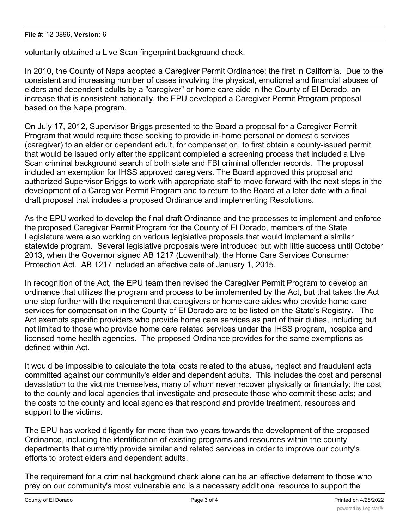voluntarily obtained a Live Scan fingerprint background check.

In 2010, the County of Napa adopted a Caregiver Permit Ordinance; the first in California. Due to the consistent and increasing number of cases involving the physical, emotional and financial abuses of elders and dependent adults by a "caregiver" or home care aide in the County of El Dorado, an increase that is consistent nationally, the EPU developed a Caregiver Permit Program proposal based on the Napa program.

On July 17, 2012, Supervisor Briggs presented to the Board a proposal for a Caregiver Permit Program that would require those seeking to provide in-home personal or domestic services (caregiver) to an elder or dependent adult, for compensation, to first obtain a county-issued permit that would be issued only after the applicant completed a screening process that included a Live Scan criminal background search of both state and FBI criminal offender records. The proposal included an exemption for IHSS approved caregivers. The Board approved this proposal and authorized Supervisor Briggs to work with appropriate staff to move forward with the next steps in the development of a Caregiver Permit Program and to return to the Board at a later date with a final draft proposal that includes a proposed Ordinance and implementing Resolutions.

As the EPU worked to develop the final draft Ordinance and the processes to implement and enforce the proposed Caregiver Permit Program for the County of El Dorado, members of the State Legislature were also working on various legislative proposals that would implement a similar statewide program. Several legislative proposals were introduced but with little success until October 2013, when the Governor signed AB 1217 (Lowenthal), the Home Care Services Consumer Protection Act. AB 1217 included an effective date of January 1, 2015.

In recognition of the Act, the EPU team then revised the Caregiver Permit Program to develop an ordinance that utilizes the program and process to be implemented by the Act, but that takes the Act one step further with the requirement that caregivers or home care aides who provide home care services for compensation in the County of El Dorado are to be listed on the State's Registry. The Act exempts specific providers who provide home care services as part of their duties, including but not limited to those who provide home care related services under the IHSS program, hospice and licensed home health agencies. The proposed Ordinance provides for the same exemptions as defined within Act.

It would be impossible to calculate the total costs related to the abuse, neglect and fraudulent acts committed against our community's elder and dependent adults. This includes the cost and personal devastation to the victims themselves, many of whom never recover physically or financially; the cost to the county and local agencies that investigate and prosecute those who commit these acts; and the costs to the county and local agencies that respond and provide treatment, resources and support to the victims.

The EPU has worked diligently for more than two years towards the development of the proposed Ordinance, including the identification of existing programs and resources within the county departments that currently provide similar and related services in order to improve our county's efforts to protect elders and dependent adults.

The requirement for a criminal background check alone can be an effective deterrent to those who prey on our community's most vulnerable and is a necessary additional resource to support the